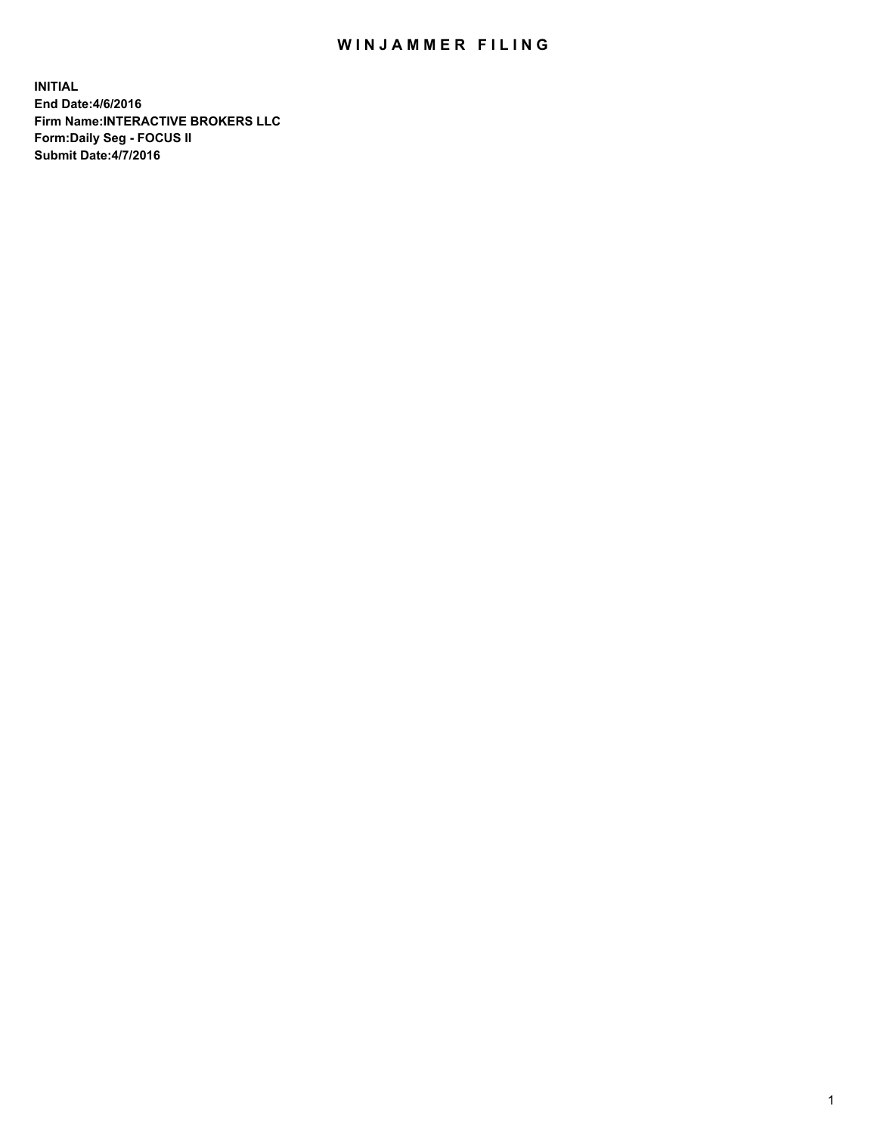## WIN JAMMER FILING

**INITIAL End Date:4/6/2016 Firm Name:INTERACTIVE BROKERS LLC Form:Daily Seg - FOCUS II Submit Date:4/7/2016**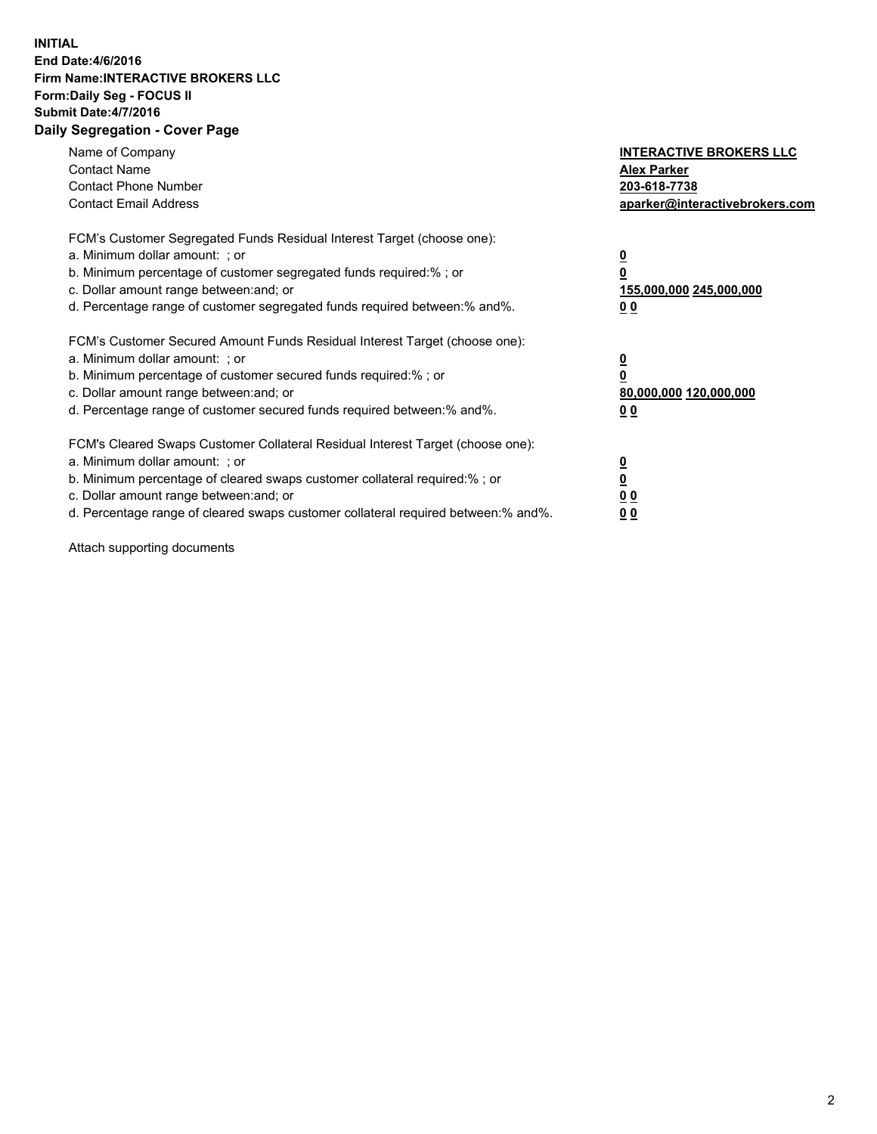## **INITIAL End Date:4/6/2016 Firm Name:INTERACTIVE BROKERS LLC Form:Daily Seg - FOCUS II Submit Date:4/7/2016 Daily Segregation - Cover Page**

| Name of Company<br><b>Contact Name</b><br><b>Contact Phone Number</b><br><b>Contact Email Address</b>                                                                                                                                                                                                                          | <b>INTERACTIVE BROKERS LLC</b><br><b>Alex Parker</b><br>203-618-7738<br>aparker@interactivebrokers.com |
|--------------------------------------------------------------------------------------------------------------------------------------------------------------------------------------------------------------------------------------------------------------------------------------------------------------------------------|--------------------------------------------------------------------------------------------------------|
| FCM's Customer Segregated Funds Residual Interest Target (choose one):<br>a. Minimum dollar amount: ; or<br>b. Minimum percentage of customer segregated funds required:%; or<br>c. Dollar amount range between: and; or<br>d. Percentage range of customer segregated funds required between:% and%.                          | <u>0</u><br>155,000,000 245,000,000<br><u>00</u>                                                       |
| FCM's Customer Secured Amount Funds Residual Interest Target (choose one):<br>a. Minimum dollar amount: ; or<br>b. Minimum percentage of customer secured funds required:%; or<br>c. Dollar amount range between: and; or<br>d. Percentage range of customer secured funds required between:% and%.                            | <u>0</u><br>80,000,000 120,000,000<br>0 <sub>0</sub>                                                   |
| FCM's Cleared Swaps Customer Collateral Residual Interest Target (choose one):<br>a. Minimum dollar amount: ; or<br>b. Minimum percentage of cleared swaps customer collateral required:% ; or<br>c. Dollar amount range between: and; or<br>d. Percentage range of cleared swaps customer collateral required between:% and%. | ₫<br>0 <sub>0</sub><br>0 <sub>0</sub>                                                                  |

Attach supporting documents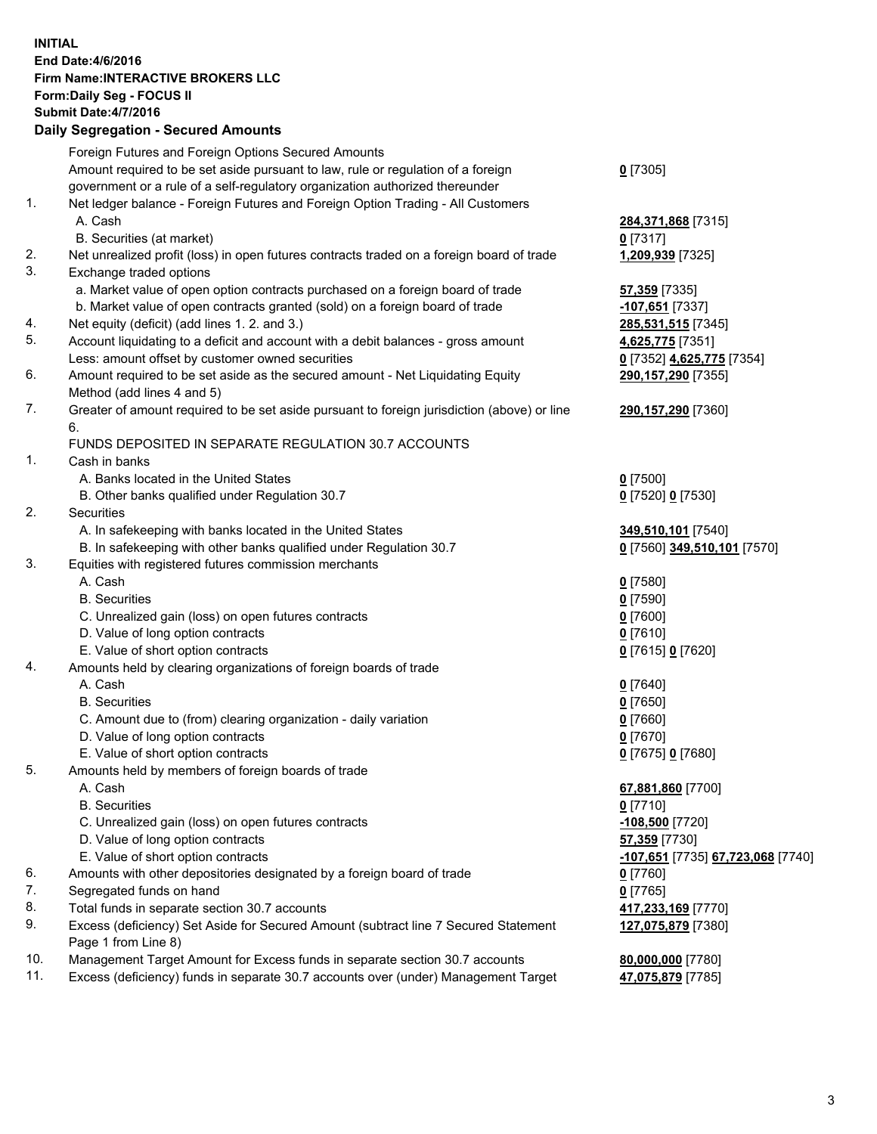## **INITIAL End Date:4/6/2016 Firm Name:INTERACTIVE BROKERS LLC Form:Daily Seg - FOCUS II Submit Date:4/7/2016 Daily Segregation - Secured Amounts**

|     | Foreign Futures and Foreign Options Secured Amounts                                         |                                   |
|-----|---------------------------------------------------------------------------------------------|-----------------------------------|
|     | Amount required to be set aside pursuant to law, rule or regulation of a foreign            | $0$ [7305]                        |
|     | government or a rule of a self-regulatory organization authorized thereunder                |                                   |
| 1.  | Net ledger balance - Foreign Futures and Foreign Option Trading - All Customers             |                                   |
|     | A. Cash                                                                                     | 284,371,868 [7315]                |
|     | B. Securities (at market)                                                                   | $0$ [7317]                        |
| 2.  | Net unrealized profit (loss) in open futures contracts traded on a foreign board of trade   | 1,209,939 [7325]                  |
| 3.  | Exchange traded options                                                                     |                                   |
|     | a. Market value of open option contracts purchased on a foreign board of trade              | 57,359 [7335]                     |
|     | b. Market value of open contracts granted (sold) on a foreign board of trade                | -107,651 [7337]                   |
| 4.  | Net equity (deficit) (add lines 1. 2. and 3.)                                               | 285,531,515 [7345]                |
| 5.  | Account liquidating to a deficit and account with a debit balances - gross amount           | 4,625,775 [7351]                  |
|     | Less: amount offset by customer owned securities                                            | 0 [7352] 4,625,775 [7354]         |
| 6.  | Amount required to be set aside as the secured amount - Net Liquidating Equity              | 290,157,290 [7355]                |
|     | Method (add lines 4 and 5)                                                                  |                                   |
| 7.  | Greater of amount required to be set aside pursuant to foreign jurisdiction (above) or line | 290,157,290 [7360]                |
|     | 6.                                                                                          |                                   |
|     | FUNDS DEPOSITED IN SEPARATE REGULATION 30.7 ACCOUNTS                                        |                                   |
| 1.  | Cash in banks                                                                               |                                   |
|     | A. Banks located in the United States                                                       | $0$ [7500]                        |
|     | B. Other banks qualified under Regulation 30.7                                              | 0 [7520] 0 [7530]                 |
| 2.  | Securities                                                                                  |                                   |
|     | A. In safekeeping with banks located in the United States                                   | 349,510,101 [7540]                |
|     | B. In safekeeping with other banks qualified under Regulation 30.7                          | 0 [7560] 349,510,101 [7570]       |
| 3.  | Equities with registered futures commission merchants                                       |                                   |
|     | A. Cash                                                                                     | $0$ [7580]                        |
|     | <b>B.</b> Securities                                                                        | $0$ [7590]                        |
|     | C. Unrealized gain (loss) on open futures contracts                                         | $0$ [7600]                        |
|     | D. Value of long option contracts                                                           | $0$ [7610]                        |
|     | E. Value of short option contracts                                                          | 0 [7615] 0 [7620]                 |
| 4.  | Amounts held by clearing organizations of foreign boards of trade                           |                                   |
|     | A. Cash                                                                                     | $0$ [7640]                        |
|     | <b>B.</b> Securities                                                                        | $0$ [7650]                        |
|     | C. Amount due to (from) clearing organization - daily variation                             | $0$ [7660]                        |
|     | D. Value of long option contracts                                                           | $0$ [7670]                        |
|     | E. Value of short option contracts                                                          | 0 [7675] 0 [7680]                 |
| 5.  | Amounts held by members of foreign boards of trade                                          |                                   |
|     | A. Cash                                                                                     | 67,881,860 [7700]                 |
|     | <b>B.</b> Securities                                                                        | $0$ [7710]                        |
|     | C. Unrealized gain (loss) on open futures contracts                                         | -108,500 <sup>[7720]</sup>        |
|     | D. Value of long option contracts                                                           | 57,359 [7730]                     |
|     | E. Value of short option contracts                                                          | -107,651 [7735] 67,723,068 [7740] |
| 6.  | Amounts with other depositories designated by a foreign board of trade                      | $0$ [7760]                        |
| 7.  | Segregated funds on hand                                                                    | $0$ [7765]                        |
| 8.  | Total funds in separate section 30.7 accounts                                               | 417,233,169 [7770]                |
| 9.  | Excess (deficiency) Set Aside for Secured Amount (subtract line 7 Secured Statement         | 127,075,879 [7380]                |
|     | Page 1 from Line 8)                                                                         |                                   |
| 10. | Management Target Amount for Excess funds in separate section 30.7 accounts                 | 80,000,000 [7780]                 |
| 11. | Excess (deficiency) funds in separate 30.7 accounts over (under) Management Target          | 47,075,879 [7785]                 |
|     |                                                                                             |                                   |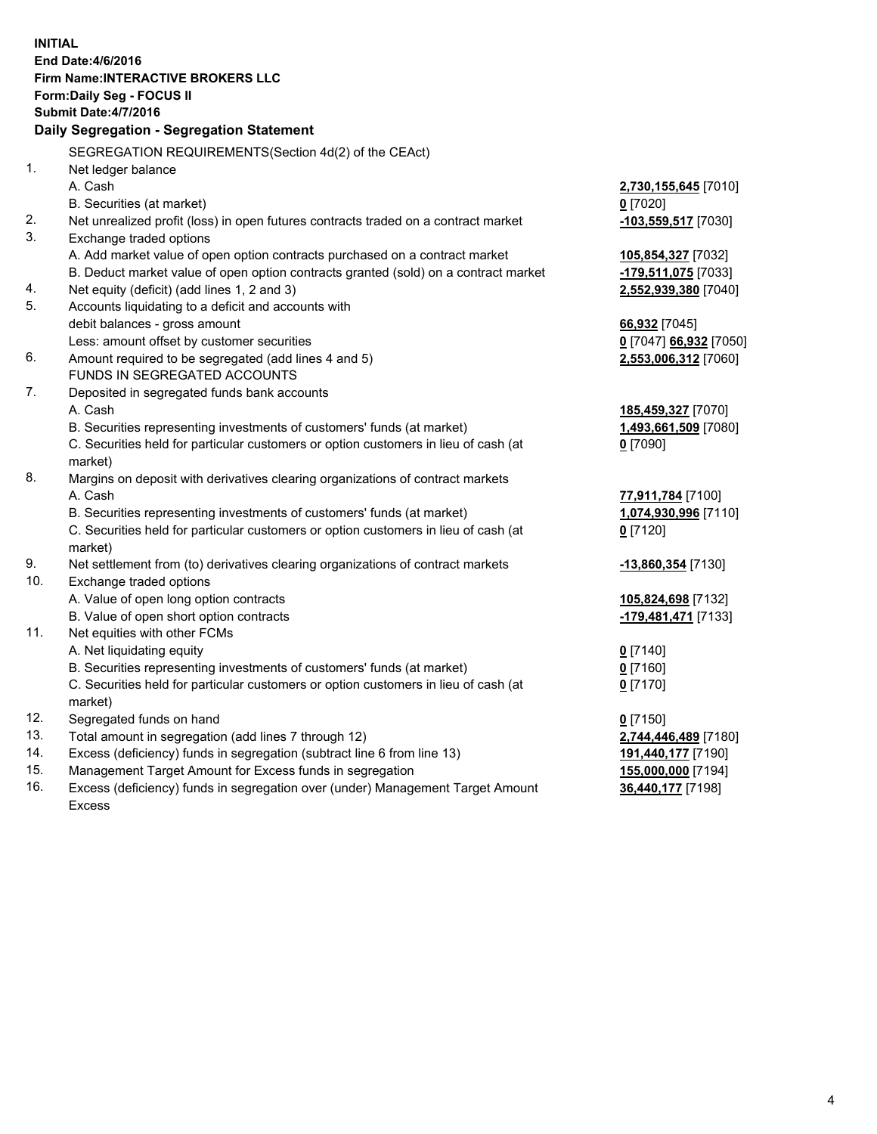**INITIAL End Date:4/6/2016 Firm Name:INTERACTIVE BROKERS LLC Form:Daily Seg - FOCUS II Submit Date:4/7/2016 Daily Segregation - Segregation Statement** SEGREGATION REQUIREMENTS(Section 4d(2) of the CEAct) 1. Net ledger balance A. Cash **2,730,155,645** [7010] B. Securities (at market) **0** [7020] 2. Net unrealized profit (loss) in open futures contracts traded on a contract market **-103,559,517** [7030] 3. Exchange traded options A. Add market value of open option contracts purchased on a contract market **105,854,327** [7032] B. Deduct market value of open option contracts granted (sold) on a contract market **-179,511,075** [7033] 4. Net equity (deficit) (add lines 1, 2 and 3) **2,552,939,380** [7040] 5. Accounts liquidating to a deficit and accounts with debit balances - gross amount **66,932** [7045] Less: amount offset by customer securities **0** [7047] **66,932** [7050] 6. Amount required to be segregated (add lines 4 and 5) **2,553,006,312** [7060] FUNDS IN SEGREGATED ACCOUNTS 7. Deposited in segregated funds bank accounts A. Cash **185,459,327** [7070] B. Securities representing investments of customers' funds (at market) **1,493,661,509** [7080] C. Securities held for particular customers or option customers in lieu of cash (at market) **0** [7090] 8. Margins on deposit with derivatives clearing organizations of contract markets A. Cash **77,911,784** [7100] B. Securities representing investments of customers' funds (at market) **1,074,930,996** [7110] C. Securities held for particular customers or option customers in lieu of cash (at market) **0** [7120] 9. Net settlement from (to) derivatives clearing organizations of contract markets **-13,860,354** [7130] 10. Exchange traded options A. Value of open long option contracts **105,824,698** [7132] B. Value of open short option contracts **-179,481,471** [7133] 11. Net equities with other FCMs A. Net liquidating equity **0** [7140] B. Securities representing investments of customers' funds (at market) **0** [7160] C. Securities held for particular customers or option customers in lieu of cash (at market) **0** [7170] 12. Segregated funds on hand **0** [7150] 13. Total amount in segregation (add lines 7 through 12) **2,744,446,489** [7180] 14. Excess (deficiency) funds in segregation (subtract line 6 from line 13) **191,440,177** [7190] 15. Management Target Amount for Excess funds in segregation **155,000,000** [7194] 16. Excess (deficiency) funds in segregation over (under) Management Target Amount **36,440,177** [7198]

Excess